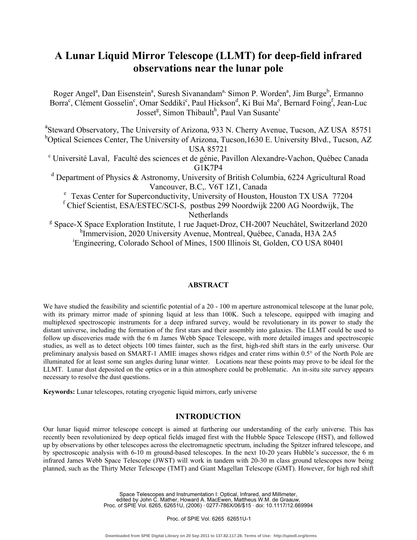# **A Lunar Liquid Mirror Telescope (LLMT) for deep-field infrared observations near the lunar pole**

Roger Angel<sup>a</sup>, Dan Eisenstein<sup>a</sup>, Suresh Sivanandam<sup>a,</sup> Simon P. Worden<sup>a</sup>, Jim Burge<sup>b</sup>, Ermanno Borra<sup>c</sup>, Clément Gosselin<sup>c</sup>, Omar Seddiki<sup>c</sup>, Paul Hickson<sup>d</sup>, Ki Bui Ma<sup>e</sup>, Bernard Foing<sup>f</sup>, Jean-Luc Josset<sup>g</sup>, Simon Thibault<sup>h</sup>, Paul Van Susante<sup>i</sup>

<sup>a</sup>Steward Observatory, The University of Arizona, 933 N. Cherry Avenue, Tucson, AZ USA 85751 <sup>b</sup>Optical Sciences Center, The University of Arizona, Tucson, 1630 E. University Blvd., Tucson, AZ

USA 85721<br>
Cuniversité Laval, Faculté des sciences et de génie, Pavillon Alexandre-Vachon, Québec Canada G1K7P4

<sup>d</sup> Department of Physics & Astronomy, University of British Columbia, 6224 Agricultural Road vancouver, B.C,. V6T 1Z1, Canada<br><sup>e</sup> Texas Center for Superconductivity, University of Houston, Houston TX USA 77204

<sup>f</sup> Chief Scientist, ESA/ESTEC/SCI-S, postbus 299 Noordwijk 2200 AG Noordwijk, The Netherlands

<sup>g</sup> Space-X Space Exploration Institute, 1 rue Jaquet-Droz, CH-2007 Neuchâtel, Switzerland 2020 h<sub>Immervision, 2020 University Avenue, Montreal, Québec, Canada, H3A 2A5</sub> i Engineering, Colorado School of Mines, 1500 Illinois St, Golden, CO USA 80401

## **ABSTRACT**

We have studied the feasibility and scientific potential of a 20 - 100 m aperture astronomical telescope at the lunar pole, with its primary mirror made of spinning liquid at less than 100K. Such a telescope, equipped with imaging and multiplexed spectroscopic instruments for a deep infrared survey, would be revolutionary in its power to study the distant universe, including the formation of the first stars and their assembly into galaxies. The LLMT could be used to follow up discoveries made with the 6 m James Webb Space Telescope, with more detailed images and spectroscopic studies, as well as to detect objects 100 times fainter, such as the first, high-red shift stars in the early universe. Our preliminary analysis based on SMART-1 AMIE images shows ridges and crater rims within 0.5° of the North Pole are illuminated for at least some sun angles during lunar winter. Locations near these points may prove to be ideal for the LLMT. Lunar dust deposited on the optics or in a thin atmosphere could be problematic. An in-situ site survey appears necessary to resolve the dust questions.

**Keywords:** Lunar telescopes, rotating cryogenic liquid mirrors, early universe

# **INTRODUCTION**

Our lunar liquid mirror telescope concept is aimed at furthering our understanding of the early universe. This has recently been revolutionized by deep optical fields imaged first with the Hubble Space Telescope (HST), and followed up by observations by other telescopes across the electromagnetic spectrum, including the Spitzer infrared telescope, and by spectroscopic analysis with 6-10 m ground-based telescopes. In the next 10-20 years Hubble's successor, the 6 m infrared James Webb Space Telescope (JWST) will work in tandem with 20-30 m class ground telescopes now being planned, such as the Thirty Meter Telescope (TMT) and Giant Magellan Telescope (GMT). However, for high red shift

> Space Telescopes and Instrumentation I: Optical, Infrared, and Millimeter, edited by John C. Mather, Howard A. MacEwen, Mattheus W.M. de Graauw, Proc. of SPIE Vol. 6265, 62651U, (2006) · 0277-786X/06/\$15 · doi: 10.1117/12.669994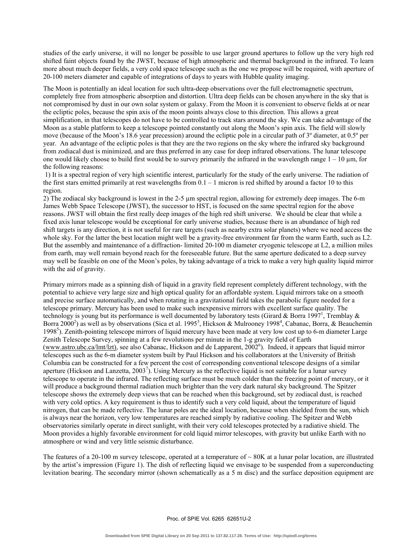studies of the early universe, it will no longer be possible to use larger ground apertures to follow up the very high red shifted faint objects found by the JWST, because of high atmospheric and thermal background in the infrared. To learn more about much deeper fields, a very cold space telescope such as the one we propose will be required, with aperture of 20-100 meters diameter and capable of integrations of days to years with Hubble quality imaging.

The Moon is potentially an ideal location for such ultra-deep observations over the full electromagnetic spectrum, completely free from atmospheric absorption and distortion. Ultra deep fields can be chosen anywhere in the sky that is not compromised by dust in our own solar system or galaxy. From the Moon it is convenient to observe fields at or near the ecliptic poles, because the spin axis of the moon points always close to this direction. This allows a great simplification, in that telescopes do not have to be controlled to track stars around the sky. We can take advantage of the Moon as a stable platform to keep a telescope pointed constantly out along the Moon's spin axis. The field will slowly move (because of the Moon's 18.6 year precession) around the ecliptic pole in a circular path of 3º diameter, at 0.5º per year. An advantage of the ecliptic poles is that they are the two regions on the sky where the infrared sky background from zodiacal dust is minimized, and are thus preferred in any case for deep infrared observations. The lunar telescope one would likely choose to build first would be to survey primarily the infrared in the wavelength range  $1 - 10 \mu m$ , for the following reasons:

 1) It is a spectral region of very high scientific interest, particularly for the study of the early universe. The radiation of the first stars emitted primarily at rest wavelengths from  $0.1 - 1$  micron is red shifted by around a factor 10 to this region.

2) The zodiacal sky background is lowest in the 2-5 µm spectral region, allowing for extremely deep images. The 6-m James Webb Space Telescope (JWST), the successor to HST, is focused on the same spectral region for the above reasons. JWST will obtain the first really deep images of the high red shift universe. We should be clear that while a fixed axis lunar telescope would be exceptional for early universe studies, because there is an abundance of high red shift targets is any direction, it is not useful for rare targets (such as nearby extra solar planets) where we need access the whole sky. For the latter the best location might well be a gravity-free environment far from the warm Earth, such as L2. But the assembly and maintenance of a diffraction- limited 20-100 m diameter cryogenic telescope at L2, a million miles from earth, may well remain beyond reach for the foreseeable future. But the same aperture dedicated to a deep survey may well be feasible on one of the Moon's poles, by taking advantage of a trick to make a very high quality liquid mirror with the aid of gravity.

Primary mirrors made as a spinning dish of liquid in a gravity field represent completely different technology, with the potential to achieve very large size and high optical quality for an affordable system. Liquid mirrors take on a smooth and precise surface automatically, and when rotating in a gravitational field takes the parabolic figure needed for a telescope primary. Mercury has been used to make such inexpensive mirrors with excellent surface quality. The technology is young but its performance is well documented by laboratory tests (Girard & Borra 1997<sup>1</sup>, Tremblay & Borra 2000<sup>2</sup>) as well as by observations (Sica et al. 1995<sup>3</sup>, Hickson & Mulrooney 1998<sup>4</sup>, Cabanac, Borra, & Beauchemin 1998<sup>5</sup>). Zenith-pointing telescope mirrors of liquid mercury have been made at very low cost up to 6-m diameter Large Zenith Telescope Survey, spinning at a few revolutions per minute in the 1-g gravity field of Earth (www.astro.ubc.ca/lmt/lzt), see also Cabanac, Hickson and de Lapparent, 2002<sup>6</sup>). Indeed, it appears that liquid mirror telescopes such as the 6-m diameter system built by Paul Hickson and his collaborators at the University of British Columbia can be constructed for a few percent the cost of corresponding conventional telescope designs of a similar aperture (Hickson and Lanzetta, 2003<sup>7</sup>). Using Mercury as the reflective liquid is not suitable for a lunar survey telescope to operate in the infrared. The reflecting surface must be much colder than the freezing point of mercury, or it will produce a background thermal radiation much brighter than the very dark natural sky background. The Spitzer telescope shows the extremely deep views that can be reached when this background, set by zodiacal dust, is reached with very cold optics. A key requirement is thus to identify such a very cold liquid, about the temperature of liquid nitrogen, that can be made reflective. The lunar poles are the ideal location, because when shielded from the sun, which is always near the horizon, very low temperatures are reached simply by radiative cooling. The Spitzer and Webb observatories similarly operate in direct sunlight, with their very cold telescopes protected by a radiative shield. The Moon provides a highly favorable environment for cold liquid mirror telescopes, with gravity but unlike Earth with no atmosphere or wind and very little seismic disturbance.

The features of a 20-100 m survey telescope, operated at a temperature of  $\sim 80K$  at a lunar polar location, are illustrated by the artist's impression (Figure 1). The dish of reflecting liquid we envisage to be suspended from a superconducting levitation bearing. The secondary mirror (shown schematically as a 5 m disc) and the surface deposition equipment are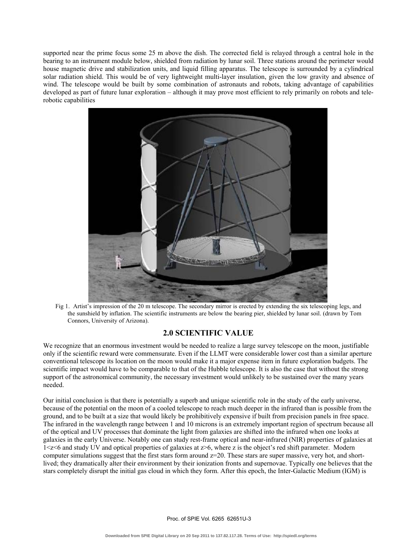supported near the prime focus some 25 m above the dish. The corrected field is relayed through a central hole in the bearing to an instrument module below, shielded from radiation by lunar soil. Three stations around the perimeter would house magnetic drive and stabilization units, and liquid filling apparatus. The telescope is surrounded by a cylindrical solar radiation shield. This would be of very lightweight multi-layer insulation, given the low gravity and absence of wind. The telescope would be built by some combination of astronauts and robots, taking advantage of capabilities developed as part of future lunar exploration – although it may prove most efficient to rely primarily on robots and telerobotic capabilities



Fig 1. Artist's impression of the 20 m telescope. The secondary mirror is erected by extending the six telescoping legs, and the sunshield by inflation. The scientific instruments are below the bearing pier, shielded by lunar soil. (drawn by Tom Connors, University of Arizona).

# **2.0 SCIENTIFIC VALUE**

We recognize that an enormous investment would be needed to realize a large survey telescope on the moon, justifiable only if the scientific reward were commensurate. Even if the LLMT were considerable lower cost than a similar aperture conventional telescope its location on the moon would make it a major expense item in future exploration budgets. The scientific impact would have to be comparable to that of the Hubble telescope. It is also the case that without the strong support of the astronomical community, the necessary investment would unlikely to be sustained over the many years needed.

Our initial conclusion is that there is potentially a superb and unique scientific role in the study of the early universe, because of the potential on the moon of a cooled telescope to reach much deeper in the infrared than is possible from the ground, and to be built at a size that would likely be prohibitively expensive if built from precision panels in free space. The infrared in the wavelength range between 1 and 10 microns is an extremely important region of spectrum because all of the optical and UV processes that dominate the light from galaxies are shifted into the infrared when one looks at galaxies in the early Universe. Notably one can study rest-frame optical and near-infrared (NIR) properties of galaxies at  $1 \le z \le 6$  and study UV and optical properties of galaxies at  $z \ge 6$ , where z is the object's red shift parameter. Modern computer simulations suggest that the first stars form around  $z=20$ . These stars are super massive, very hot, and shortlived; they dramatically alter their environment by their ionization fronts and supernovae. Typically one believes that the stars completely disrupt the initial gas cloud in which they form. After this epoch, the Inter-Galactic Medium (IGM) is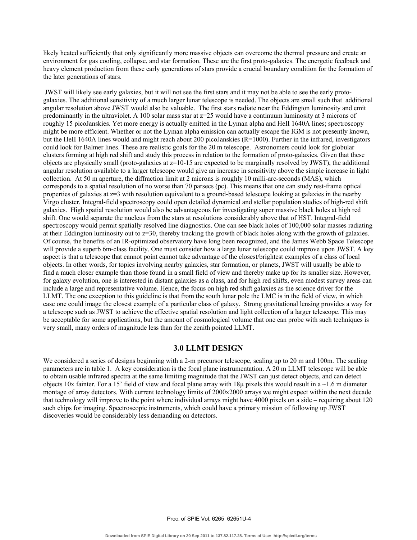likely heated sufficiently that only significantly more massive objects can overcome the thermal pressure and create an environment for gas cooling, collapse, and star formation. These are the first proto-galaxies. The energetic feedback and heavy element production from these early generations of stars provide a crucial boundary condition for the formation of the later generations of stars.

 JWST will likely see early galaxies, but it will not see the first stars and it may not be able to see the early protogalaxies. The additional sensitivity of a much larger lunar telescope is needed. The objects are small such that additional angular resolution above JWST would also be valuable. The first stars radiate near the Eddington luminosity and emit predominantly in the ultraviolet. A 100 solar mass star at z=25 would have a continuum luminosity at 3 microns of roughly 15 picoJanskies. Yet more energy is actually emitted in the Lyman alpha and HeII 1640A lines; spectroscopy might be more efficient. Whether or not the Lyman alpha emission can actually escape the IGM is not presently known, but the HeII 1640A lines would and might reach about 200 picoJanskies (R=1000). Further in the infrared, investigators could look for Balmer lines. These are realistic goals for the 20 m telescope. Astronomers could look for globular clusters forming at high red shift and study this process in relation to the formation of proto-galaxies. Given that these objects are physically small (proto-galaxies at  $z=10-15$  are expected to be marginally resolved by JWST), the additional angular resolution available to a larger telescope would give an increase in sensitivity above the simple increase in light collection. At 50 m aperture, the diffraction limit at 2 microns is roughly 10 milli-arc-seconds (MAS), which corresponds to a spatial resolution of no worse than 70 parsecs (pc). This means that one can study rest-frame optical properties of galaxies at z=3 with resolution equivalent to a ground-based telescope looking at galaxies in the nearby Virgo cluster. Integral-field spectroscopy could open detailed dynamical and stellar population studies of high-red shift galaxies. High spatial resolution would also be advantageous for investigating super massive black holes at high red shift. One would separate the nucleus from the stars at resolutions considerably above that of HST. Integral-field spectroscopy would permit spatially resolved line diagnostics. One can see black holes of 100,000 solar masses radiating at their Eddington luminosity out to  $z=30$ , thereby tracking the growth of black holes along with the growth of galaxies. Of course, the benefits of an IR-optimized observatory have long been recognized, and the James Webb Space Telescope will provide a superb 6m-class facility. One must consider how a large lunar telescope could improve upon JWST. A key aspect is that a telescope that cannot point cannot take advantage of the closest/brightest examples of a class of local objects. In other words, for topics involving nearby galaxies, star formation, or planets, JWST will usually be able to find a much closer example than those found in a small field of view and thereby make up for its smaller size. However, for galaxy evolution, one is interested in distant galaxies as a class, and for high red shifts, even modest survey areas can include a large and representative volume. Hence, the focus on high red shift galaxies as the science driver for the LLMT. The one exception to this guideline is that from the south lunar pole the LMC is in the field of view, in which case one could image the closest example of a particular class of galaxy. Strong gravitational lensing provides a way for a telescope such as JWST to achieve the effective spatial resolution and light collection of a larger telescope. This may be acceptable for some applications, but the amount of cosmological volume that one can probe with such techniques is very small, many orders of magnitude less than for the zenith pointed LLMT.

# **3.0 LLMT DESIGN**

We considered a series of designs beginning with a 2-m precursor telescope, scaling up to 20 m and 100m. The scaling parameters are in table 1. A key consideration is the focal plane instrumentation. A 20 m LLMT telescope will be able to obtain usable infrared spectra at the same limiting magnitude that the JWST can just detect objects, and can detect objects 10x fainter. For a 15' field of view and focal plane array with 18 $\mu$  pixels this would result in a  $\sim$ 1.6 m diameter montage of array detectors. With current technology limits of 2000x2000 arrays we might expect within the next decade that technology will improve to the point where individual arrays might have 4000 pixels on a side – requiring about 120 such chips for imaging. Spectroscopic instruments, which could have a primary mission of following up JWST discoveries would be considerably less demanding on detectors.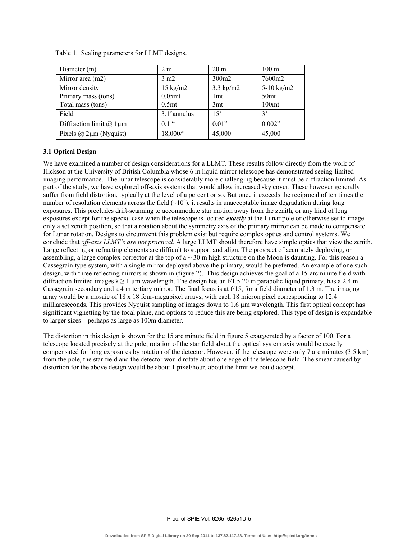| Diameter (m)                  | 2 <sub>m</sub>        | 20 <sub>m</sub> | $100 \text{ m}$     |
|-------------------------------|-----------------------|-----------------|---------------------|
| Mirror area (m2)              | 3 m2                  | 300m2           | 7600m2              |
| Mirror density                | $15 \text{ kg/m2}$    | $3.3$ kg/m2     | 5-10 $\text{kg/m2}$ |
| Primary mass (tons)           | 0.05 <sub>mt</sub>    | 1 <sub>mt</sub> | 50 <sub>mt</sub>    |
| Total mass (tons)             | 0.5 <sub>mt</sub>     | 3 <sub>mt</sub> | 100 <sub>mt</sub>   |
| Field                         | $3.1^\circ$ annulus   | 15'             | $\mathcal{F}$       |
| Diffraction limit $@1\mu m$   | 01 <sup>cc</sup>      | 0.01"           | 0.002"              |
| Pixels $\omega$ 2µm (Nyquist) | $18,000$ / $^{\circ}$ | 45,000          | 45,000              |

Table 1.Scaling parameters for LLMT designs.

## **3.1 Optical Design**

We have examined a number of design considerations for a LLMT. These results follow directly from the work of Hickson at the University of British Columbia whose 6 m liquid mirror telescope has demonstrated seeing-limited imaging performance. The lunar telescope is considerably more challenging because it must be diffraction limited. As part of the study, we have explored off-axis systems that would allow increased sky cover. These however generally suffer from field distortion, typically at the level of a percent or so. But once it exceeds the reciprocal of ten times the number of resolution elements across the field  $(-10<sup>4</sup>)$ , it results in unacceptable image degradation during long exposures. This precludes drift-scanning to accommodate star motion away from the zenith, or any kind of long exposures except for the special case when the telescope is located *exactly* at the Lunar pole or otherwise set to image only a set zenith position, so that a rotation about the symmetry axis of the primary mirror can be made to compensate for Lunar rotation. Designs to circumvent this problem exist but require complex optics and control systems. We conclude that *off-axis LLMT's are not practical*. A large LLMT should therefore have simple optics that view the zenith. Large reflecting or refracting elements are difficult to support and align. The prospect of accurately deploying, or assembling, a large complex corrector at the top of  $a \sim 30$  m high structure on the Moon is daunting. For this reason a Cassegrain type system, with a single mirror deployed above the primary, would be preferred. An example of one such design, with three reflecting mirrors is shown in (figure 2). This design achieves the goal of a 15-arcminute field with diffraction limited images  $\lambda \ge 1$  µm wavelength. The design has an f/1.5 20 m parabolic liquid primary, has a 2.4 m Cassegrain secondary and a 4 m tertiary mirror. The final focus is at f/15, for a field diameter of 1.3 m. The imaging array would be a mosaic of 18 x 18 four-megapixel arrays, with each 18 micron pixel corresponding to 12.4 milliarcseconds. This provides Nyquist sampling of images down to 1.6  $\mu$ m wavelength. This first optical concept has significant vignetting by the focal plane, and options to reduce this are being explored. This type of design is expandable to larger sizes – perhaps as large as 100m diameter.

The distortion in this design is shown for the 15 arc minute field in figure 5 exaggerated by a factor of 100. For a telescope located precisely at the pole, rotation of the star field about the optical system axis would be exactly compensated for long exposures by rotation of the detector. However, if the telescope were only 7 arc minutes (3.5 km) from the pole, the star field and the detector would rotate about one edge of the telescope field. The smear caused by distortion for the above design would be about 1 pixel/hour, about the limit we could accept.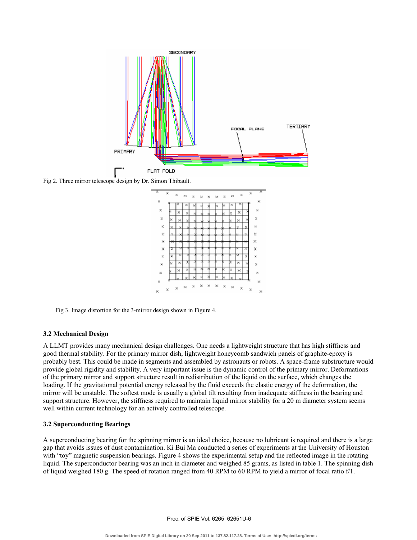

Fig 2. Three mirror telescope design by Dr. Simon Thibault.



Fig 3. Image distortion for the 3-mirror design shown in Figure 4.

#### **3.2 Mechanical Design**

A LLMT provides many mechanical design challenges. One needs a lightweight structure that has high stiffness and good thermal stability. For the primary mirror dish, lightweight honeycomb sandwich panels of graphite-epoxy is probably best. This could be made in segments and assembled by astronauts or robots. A space-frame substructure would provide global rigidity and stability. A very important issue is the dynamic control of the primary mirror. Deformations of the primary mirror and support structure result in redistribution of the liquid on the surface, which changes the loading. If the gravitational potential energy released by the fluid exceeds the elastic energy of the deformation, the mirror will be unstable. The softest mode is usually a global tilt resulting from inadequate stiffness in the bearing and support structure. However, the stiffness required to maintain liquid mirror stability for a 20 m diameter system seems well within current technology for an actively controlled telescope.

#### **3.2 Superconducting Bearings**

A superconducting bearing for the spinning mirror is an ideal choice, because no lubricant is required and there is a large gap that avoids issues of dust contamination. Ki Bui Ma conducted a series of experiments at the University of Houston with "toy" magnetic suspension bearings. Figure 4 shows the experimental setup and the reflected image in the rotating liquid. The superconductor bearing was an inch in diameter and weighed 85 grams, as listed in table 1. The spinning dish of liquid weighed 180 g. The speed of rotation ranged from 40 RPM to 60 RPM to yield a mirror of focal ratio f/1.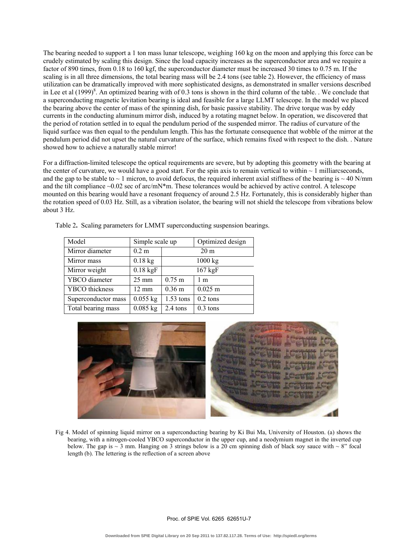The bearing needed to support a 1 ton mass lunar telescope, weighing 160 kg on the moon and applying this force can be crudely estimated by scaling this design. Since the load capacity increases as the superconductor area and we require a factor of 890 times, from 0.18 to 160 kgf, the superconductor diameter must be increased 30 times to 0.75 m. If the scaling is in all three dimensions, the total bearing mass will be 2.4 tons (see table 2). However, the efficiency of mass utilization can be dramatically improved with more sophisticated designs, as demonstrated in smaller versions described in Lee et al  $(1999)^8$ . An optimized bearing with of 0.3 tons is shown in the third column of the table. . We conclude that a superconducting magnetic levitation bearing is ideal and feasible for a large LLMT telescope. In the model we placed the bearing above the center of mass of the spinning dish, for basic passive stability. The drive torque was by eddy currents in the conducting aluminum mirror dish, induced by a rotating magnet below. In operation, we discovered that the period of rotation settled in to equal the pendulum period of the suspended mirror. The radius of curvature of the liquid surface was then equal to the pendulum length. This has the fortunate consequence that wobble of the mirror at the pendulum period did not upset the natural curvature of the surface, which remains fixed with respect to the dish. . Nature showed how to achieve a naturally stable mirror!

For a diffraction-limited telescope the optical requirements are severe, but by adopting this geometry with the bearing at the center of curvature, we would have a good start. For the spin axis to remain vertical to within  $\sim 1$  milliarcseconds, and the gap to be stable to  $\sim 1$  micron, to avoid defocus, the required inherent axial stiffness of the bearing is  $\sim 40$  N/mm and the tilt compliance  $\sim 0.02$  sec of arc/mN\*m. These tolerances would be achieved by active control. A telescope mounted on this bearing would have a resonant frequency of around 2.5 Hz. Fortunately, this is considerably higher than the rotation speed of 0.03 Hz. Still, as a vibration isolator, the bearing will not shield the telescope from vibrations below about 3 Hz.

| Model                 | Simple scale up |                   | Optimized design |  |
|-----------------------|-----------------|-------------------|------------------|--|
| Mirror diameter       | $0.2 \text{ m}$ |                   | 20 <sub>m</sub>  |  |
| Mirror mass           | $0.18$ kg       |                   | 1000 kg          |  |
| Mirror weight         | $0.18$ kgF      |                   | $167$ kgF        |  |
| YBCO diameter         | $25 \text{ mm}$ | $0.75 \text{ m}$  | 1 <sub>m</sub>   |  |
| <b>YBCO</b> thickness | $12 \text{ mm}$ | 0.36 <sub>m</sub> | $0.025$ m        |  |
| Superconductor mass   | $0.055$ kg      | $1.53$ tons       | $0.2$ tons       |  |
| Total bearing mass    | $0.085$ kg      | 2.4 tons          | $0.3$ tons       |  |

Table 2**.** Scaling parameters for LMMT superconducting suspension bearings.



Fig 4. Model of spinning liquid mirror on a superconducting bearing by Ki Bui Ma, University of Houston. (a) shows the bearing, with a nitrogen-cooled YBCO superconductor in the upper cup, and a neodymium magnet in the inverted cup below. The gap is  $\sim$  3 mm. Hanging on 3 strings below is a 20 cm spinning dish of black soy sauce with  $\sim$  8" focal length (b). The lettering is the reflection of a screen above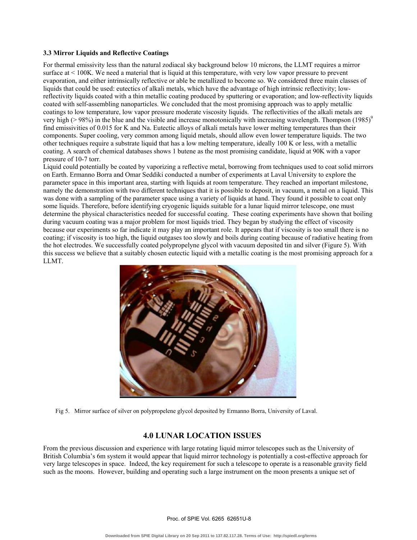#### **3.3 Mirror Liquids and Reflective Coatings**

For thermal emissivity less than the natural zodiacal sky background below 10 microns, the LLMT requires a mirror surface at < 100K. We need a material that is liquid at this temperature, with very low vapor pressure to prevent evaporation, and either intrinsically reflective or able be metallized to become so. We considered three main classes of liquids that could be used: eutectics of alkali metals, which have the advantage of high intrinsic reflectivity; lowreflectivity liquids coated with a thin metallic coating produced by sputtering or evaporation; and low-reflectivity liquids coated with self-assembling nanoparticles. We concluded that the most promising approach was to apply metallic coatings to low temperature, low vapor pressure moderate viscosity liquids. The reflectivities of the alkali metals are very high ( $> 98\%$ ) in the blue and the visible and increase monotonically with increasing wavelength. Thompson (1985)<sup>9</sup> find emissivities of 0.015 for K and Na. Eutectic alloys of alkali metals have lower melting temperatures than their components. Super cooling, very common among liquid metals, should allow even lower temperature liquids. The two other techniques require a substrate liquid that has a low melting temperature, ideally 100 K or less, with a metallic coating. A search of chemical databases shows 1 butene as the most promising candidate, liquid at 90K with a vapor pressure of 10-7 torr.

Liquid could potentially be coated by vaporizing a reflective metal, borrowing from techniques used to coat solid mirrors on Earth. Ermanno Borra and Omar Seddiki conducted a number of experiments at Laval University to explore the parameter space in this important area, starting with liquids at room temperature. They reached an important milestone, namely the demonstration with two different techniques that it is possible to deposit, in vacuum, a metal on a liquid. This was done with a sampling of the parameter space using a variety of liquids at hand. They found it possible to coat only some liquids. Therefore, before identifying cryogenic liquids suitable for a lunar liquid mirror telescope, one must determine the physical characteristics needed for successful coating. These coating experiments have shown that boiling during vacuum coating was a major problem for most liquids tried. They began by studying the effect of viscosity because our experiments so far indicate it may play an important role. It appears that if viscosity is too small there is no coating; if viscosity is too high, the liquid outgases too slowly and boils during coating because of radiative heating from the hot electrodes. We successfully coated polypropelyne glycol with vacuum deposited tin and silver (Figure 5). With this success we believe that a suitably chosen eutectic liquid with a metallic coating is the most promising approach for a LLMT.



Fig 5.Mirror surface of silver on polypropelene glycol deposited by Ermanno Borra, University of Laval.

## **4.0 LUNAR LOCATION ISSUES**

From the previous discussion and experience with large rotating liquid mirror telescopes such as the University of British Columbia's 6m system it would appear that liquid mirror technology is potentially a cost-effective approach for very large telescopes in space. Indeed, the key requirement for such a telescope to operate is a reasonable gravity field such as the moons. However, building and operating such a large instrument on the moon presents a unique set of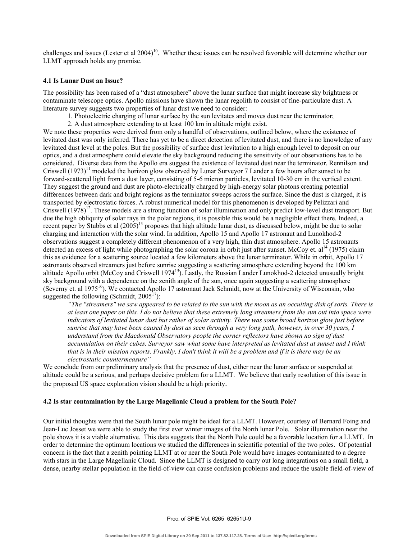challenges and issues (Lester et al 2004)<sup>10</sup>. Whether these issues can be resolved favorable will determine whether our LLMT approach holds any promise.

#### **4.1 Is Lunar Dust an Issue?**

The possibility has been raised of a "dust atmosphere" above the lunar surface that might increase sky brightness or contaminate telescope optics. Apollo missions have shown the lunar regolith to consist of fine-particulate dust. A literature survey suggests two properties of lunar dust we need to consider:

1. Photoelectric charging of lunar surface by the sun levitates and moves dust near the terminator;

2. A dust atmosphere extending to at least 100 km in altitude might exist.

We note these properties were derived from only a handful of observations, outlined below, where the existence of levitated dust was only inferred. There has yet to be a direct detection of levitated dust, and there is no knowledge of any levitated dust level at the poles. But the possibility of surface dust levitation to a high enough level to deposit on our optics, and a dust atmosphere could elevate the sky background reducing the sensitivity of our observations has to be considered. Diverse data from the Apollo era suggest the existence of levitated dust near the terminator. Rennilson and Criswell  $(1973)^{11}$  modeled the horizon glow observed by Lunar Surveyor 7 Lander a few hours after sunset to be forward-scattered light from a dust layer, consisting of 5-6 micron particles, levitated 10-30 cm in the vertical extent. They suggest the ground and dust are photo-electrically charged by high-energy solar photons creating potential differences between dark and bright regions as the terminator sweeps across the surface. Since the dust is charged, it is transported by electrostatic forces. A robust numerical model for this phenomenon is developed by Pelizzari and Criswell  $(1978)^{12}$ . These models are a strong function of solar illumination and only predict low-level dust transport. But due the high obliquity of solar rays in the polar regions, it is possible this would be a negligible effect there. Indeed, a recent paper by Stubbs et al  $(2005)^{13}$  proposes that high altitude lunar dust, as discussed below, might be due to solar charging and interaction with the solar wind. In addition, Apollo 15 and Apollo 17 astronaut and Lunokhod-2 observations suggest a completely different phenomenon of a very high, thin dust atmosphere. Apollo 15 astronauts detected an excess of light while photographing the solar corona in orbit just after sunset. McCoy et. al<sup>14</sup> (1975) claim this as evidence for a scattering source located a few kilometers above the lunar terminator. While in orbit, Apollo 17 astronauts observed streamers just before sunrise suggesting a scattering atmosphere extending beyond the 100 km altitude Apollo orbit (McCoy and Criswell 197415). Lastly, the Russian Lander Lunokhod-2 detected unusually bright sky background with a dependence on the zenith angle of the sun, once again suggesting a scattering atmosphere (Severny et. al 1975<sup>16</sup>). We contacted Apollo 17 astronaut Jack Schmidt, now at the University of Wisconsin, who suggested the following (Schmidt,  $2005^{17}$ ):

*"The "streamers" we saw appeared to be related to the sun with the moon as an occulting disk of sorts. There is at least one paper on this. I do not believe that these extremely long streamers from the sun out into space were indicators of levitated lunar dust but rather of solar activity. There was some broad horizon glow just before sunrise that may have been caused by dust as seen through a very long path, however, in over 30 years, I understand from the Macdonald Observatory people the corner reflectors have shown no sign of dust accumulation on their cubes. Surveyor saw what some have interpreted as levitated dust at sunset and I think that is in their mission reports. Frankly, I don't think it will be a problem and if it is there may be an electrostatic countermeasure"* 

We conclude from our preliminary analysis that the presence of dust, either near the lunar surface or suspended at altitude could be a serious, and perhaps decisive problem for a LLMT. We believe that early resolution of this issue in the proposed US space exploration vision should be a high priority.

### **4.2 Is star contamination by the Large Magellanic Cloud a problem for the South Pole?**

Our initial thoughts were that the South lunar pole might be ideal for a LLMT. However, courtesy of Bernard Foing and Jean-Luc Josset we were able to study the first ever winter images of the North lunar Pole. Solar illumination near the pole shows it is a viable alternative. This data suggests that the North Pole could be a favorable location for a LLMT. In order to determine the optimum locations we studied the differences in scientific potential of the two poles. Of potential concern is the fact that a zenith pointing LLMT at or near the South Pole would have images contaminated to a degree with stars in the Large Magellanic Cloud. Since the LLMT is designed to carry out long integrations on a small field, a dense, nearby stellar population in the field-of-view can cause confusion problems and reduce the usable field-of-view of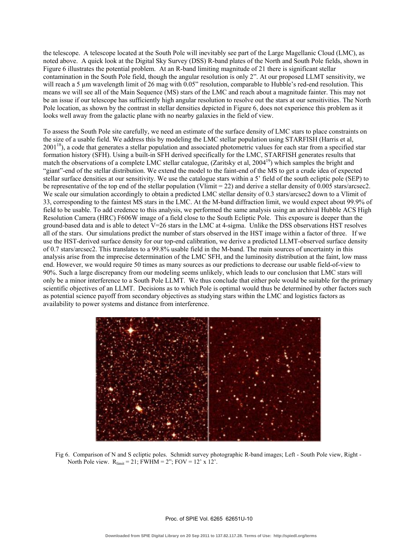the telescope. A telescope located at the South Pole will inevitably see part of the Large Magellanic Cloud (LMC), as noted above. A quick look at the Digital Sky Survey (DSS) R-band plates of the North and South Pole fields, shown in Figure 6 illustrates the potential problem. At an R-band limiting magnitude of 21 there is significant stellar contamination in the South Pole field, though the angular resolution is only 2". At our proposed LLMT sensitivity, we will reach a 5 µm wavelength limit of 26 mag with 0.05" resolution, comparable to Hubble's red-end resolution. This means we will see all of the Main Sequence (MS) stars of the LMC and reach about a magnitude fainter. This may not be an issue if our telescope has sufficiently high angular resolution to resolve out the stars at our sensitivities. The North Pole location, as shown by the contrast in stellar densities depicted in Figure 6, does not experience this problem as it looks well away from the galactic plane with no nearby galaxies in the field of view.

To assess the South Pole site carefully, we need an estimate of the surface density of LMC stars to place constraints on the size of a usable field. We address this by modeling the LMC stellar population using STARFISH (Harris et al, 2001<sup>18</sup>), a code that generates a stellar population and associated photometric values for each star from a specified star formation history (SFH). Using a built-in SFH derived specifically for the LMC, STARFISH generates results that match the observations of a complete LMC stellar catalogue, (Zaritsky et al, 2004<sup>19</sup>) which samples the bright and "giant"-end of the stellar distribution. We extend the model to the faint-end of the MS to get a crude idea of expected stellar surface densities at our sensitivity. We use the catalogue stars within a 5' field of the south ecliptic pole (SEP) to be representative of the top end of the stellar population (Vlimit  $= 22$ ) and derive a stellar density of 0.005 stars/arcsec2. We scale our simulation accordingly to obtain a predicted LMC stellar density of 0.3 stars/arcsec2 down to a Vlimit of 33, corresponding to the faintest MS stars in the LMC. At the M-band diffraction limit, we would expect about 99.9% of field to be usable. To add credence to this analysis, we performed the same analysis using an archival Hubble ACS High Resolution Camera (HRC) F606W image of a field close to the South Ecliptic Pole. This exposure is deeper than the ground-based data and is able to detect V=26 stars in the LMC at 4-sigma. Unlike the DSS observations HST resolves all of the stars. Our simulations predict the number of stars observed in the HST image within a factor of three. If we use the HST-derived surface density for our top-end calibration, we derive a predicted LLMT-observed surface density of 0.7 stars/arcsec2. This translates to a 99.8% usable field in the M-band. The main sources of uncertainty in this analysis arise from the imprecise determination of the LMC SFH, and the luminosity distribution at the faint, low mass end. However, we would require 50 times as many sources as our predictions to decrease our usable field-of-view to 90%. Such a large discrepancy from our modeling seems unlikely, which leads to our conclusion that LMC stars will only be a minor interference to a South Pole LLMT. We thus conclude that either pole would be suitable for the primary scientific objectives of an LLMT. Decisions as to which Pole is optimal would thus be determined by other factors such as potential science payoff from secondary objectives as studying stars within the LMC and logistics factors as availability to power systems and distance from interference.



Fig 6. Comparison of N and S ecliptic poles. Schmidt survey photographic R-band images; Left - South Pole view, Right - North Pole view.  $R_{limit} = 21$ ;  $\angle FWHM = 2$ ";  $\angle FOV = 12$ ' x 12'.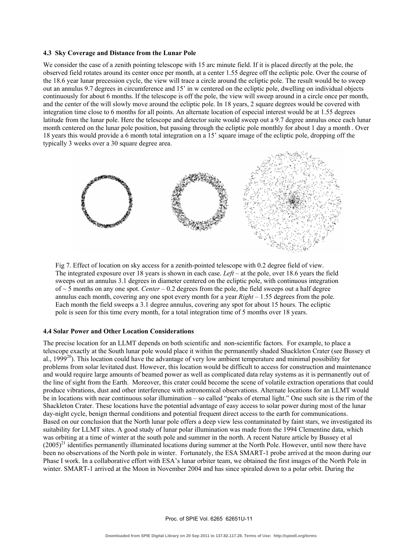#### **4.3 Sky Coverage and Distance from the Lunar Pole**

We consider the case of a zenith pointing telescope with 15 arc minute field. If it is placed directly at the pole, the observed field rotates around its center once per month, at a center 1.55 degree off the ecliptic pole. Over the course of the 18.6 year lunar precession cycle, the view will trace a circle around the ecliptic pole. The result would be to sweep out an annulus 9.7 degrees in circumference and 15' in w centered on the ecliptic pole, dwelling on individual objects continuously for about 6 months. If the telescope is off the pole, the view will sweep around in a circle once per month, and the center of the will slowly move around the ecliptic pole. In 18 years, 2 square degrees would be covered with integration time close to 6 months for all points. An alternate location of especial interest would be at 1.55 degrees latitude from the lunar pole. Here the telescope and detector suite would sweep out a 9.7 degree annulus once each lunar month centered on the lunar pole position, but passing through the ecliptic pole monthly for about 1 day a month . Over 18 years this would provide a 6 month total integration on a 15' square image of the ecliptic pole, dropping off the typically 3 weeks over a 30 square degree area.



Fig 7. Effect of location on sky access for a zenith-pointed telescope with 0.2 degree field of view. The integrated exposure over 18 years is shown in each case. *Left* – at the pole, over 18.6 years the field sweeps out an annulus 3.1 degrees in diameter centered on the ecliptic pole, with continuous integration of ~ 5 months on any one spot. *Center* – 0.2 degrees from the pole, the field sweeps out a half degree annulus each month, covering any one spot every month for a year *Right* – 1.55 degrees from the pole. Each month the field sweeps a 3.1 degree annulus, covering any spot for about 15 hours. The ecliptic pole is seen for this time every month, for a total integration time of 5 months over 18 years.

#### **4.4 Solar Power and Other Location Considerations**

The precise location for an LLMT depends on both scientific and non-scientific factors. For example, to place a telescope exactly at the South lunar pole would place it within the permanently shaded Shackleton Crater (see Bussey et al., 1999 $^{20}$ ). This location could have the advantage of very low ambient temperature and minimal possibility for problems from solar levitated dust. However, this location would be difficult to access for construction and maintenance and would require large amounts of beamed power as well as complicated data relay systems as it is permanently out of the line of sight from the Earth. Moreover, this crater could become the scene of volatile extraction operations that could produce vibrations, dust and other interference with astronomical observations. Alternate locations for an LLMT would be in locations with near continuous solar illumination – so called "peaks of eternal light." One such site is the rim of the Shackleton Crater. These locations have the potential advantage of easy access to solar power during most of the lunar day-night cycle, benign thermal conditions and potential frequent direct access to the earth for communications. Based on our conclusion that the North lunar pole offers a deep view less contaminated by faint stars, we investigated its suitability for LLMT sites. A good study of lunar polar illumination was made from the 1994 Clementine data, which was orbiting at a time of winter at the south pole and summer in the north. A recent Nature article by Bussey et al  $(2005)^{21}$  identifies permanently illuminated locations during summer at the North Pole. However, until now there have been no observations of the North pole in winter. Fortunately, the ESA SMART-1 probe arrived at the moon during our Phase I work. In a collaborative effort with ESA's lunar orbiter team, we obtained the first images of the North Pole in winter. SMART-1 arrived at the Moon in November 2004 and has since spiraled down to a polar orbit. During the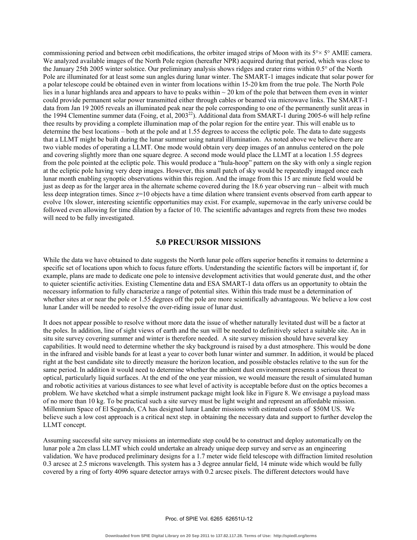commissioning period and between orbit modifications, the orbiter imaged strips of Moon with its 5°× 5° AMIE camera. We analyzed available images of the North Pole region (hereafter NPR) acquired during that period, which was close to the January 25th 2005 winter solstice. Our preliminary analysis shows ridges and crater rims within 0.5° of the North Pole are illuminated for at least some sun angles during lunar winter. The SMART-1 images indicate that solar power for a polar telescope could be obtained even in winter from locations within 15-20 km from the true pole. The North Pole lies in a lunar highlands area and appears to have to peaks within  $\sim$  20 km of the pole that between them even in winter could provide permanent solar power transmitted either through cables or beamed via microwave links. The SMART-1 data from Jan 19 2005 reveals an illuminated peak near the pole corresponding to one of the permanently sunlit areas in the 1994 Clementine summer data (Foing, et al, 2003<sup>22</sup>). Additional data from SMART-1 during 2005-6 will help refine thee results by providing a complete illumination map of the polar region for the entire year. This will enable us to determine the best locations – both at the pole and at 1.55 degrees to access the ecliptic pole. The data to date suggests that a LLMT might be built during the lunar summer using natural illumination. As noted above we believe there are two viable modes of operating a LLMT. One mode would obtain very deep images of an annulus centered on the pole and covering slightly more than one square degree. A second mode would place the LLMT at a location 1.55 degrees from the pole pointed at the ecliptic pole. This would produce a "hula-hoop" pattern on the sky with only a single region at the ecliptic pole having very deep images. However, this small patch of sky would be repeatedly imaged once each lunar month enabling synoptic observations within this region. And the image from this 15 arc minute field would be just as deep as for the larger area in the alternate scheme covered during the 18.6 year observing run – albeit with much less deep integration times. Since  $z=10$  objects have a time dilation where transient events observed from earth appear to evolve 10x slower, interesting scientific opportunities may exist. For example, supernovae in the early universe could be followed even allowing for time dilation by a factor of 10. The scientific advantages and regrets from these two modes will need to be fully investigated.

## **5.0 PRECURSOR MISSIONS**

While the data we have obtained to date suggests the North lunar pole offers superior benefits it remains to determine a specific set of locations upon which to focus future efforts. Understanding the scientific factors will be important if, for example, plans are made to dedicate one pole to intensive development activities that would generate dust, and the other to quieter scientific activities. Existing Clementine data and ESA SMART-1 data offers us an opportunity to obtain the necessary information to fully characterize a range of potential sites. Within this trade must be a determination of whether sites at or near the pole or 1.55 degrees off the pole are more scientifically advantageous. We believe a low cost lunar Lander will be needed to resolve the over-riding issue of lunar dust.

It does not appear possible to resolve without more data the issue of whether naturally levitated dust will be a factor at the poles. In addition, line of sight views of earth and the sun will be needed to definitively select a suitable site. An in situ site survey covering summer and winter is therefore needed. A site survey mission should have several key capabilities. It would need to determine whether the sky background is raised by a dust atmosphere. This would be done in the infrared and visible bands for at least a year to cover both lunar winter and summer. In addition, it would be placed right at the best candidate site to directly measure the horizon location, and possible obstacles relative to the sun for the same period. In addition it would need to determine whether the ambient dust environment presents a serious threat to optical, particularly liquid surfaces. At the end of the one year mission, we would measure the result of simulated human and robotic activities at various distances to see what level of activity is acceptable before dust on the optics becomes a problem. We have sketched what a simple instrument package might look like in Figure 8. We envisage a payload mass of no more than 10 kg. To be practical such a site survey must be light weight and represent an affordable mission. Millennium Space of El Segundo, CA has designed lunar Lander missions with estimated costs of \$50M US. We believe such a low cost approach is a critical next step. in obtaining the necessary data and support to further develop the LLMT concept.

Assuming successful site survey missions an intermediate step could be to construct and deploy automatically on the lunar pole a 2m class LLMT which could undertake an already unique deep survey and serve as an engineering validation. We have produced preliminary designs for a 1.7 meter wide field telescope with diffraction limited resolution 0.3 arcsec at 2.5 microns wavelength. This system has a 3 degree annular field, 14 minute wide which would be fully covered by a ring of forty 4096 square detector arrays with 0.2 arcsec pixels. The different detectors would have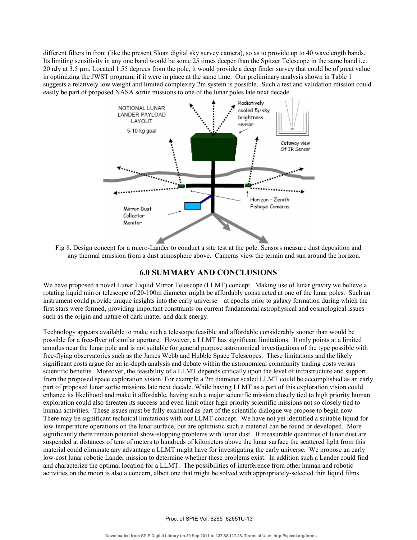different filters in front (like the present Sloan digital sky survey camera), so as to provide up to 40 wavelength bands. Its limiting sensitivity in any one band would be some 25 times deeper than the Spitzer Telescope in the same band i.e. 20 nJy at 3.5 µm. Located 1.55 degrees from the pole, it would provide a deep finder survey that could be of great value in optimizing the JWST program, if it were in place at the same time. Our preliminary analysis shown in Table 1 suggests a relatively low weight and limited complexity 2m system is possible. Such a test and validation mission could easily be part of proposed NASA sortie missions to one of the lunar poles late next decade.



Fig 8. Design concept for a micro-Lander to conduct a site test at the pole. Sensors measure dust deposition and any thermal emission from a dust atmosphere above. Cameras view the terrain and sun around the horizon.

# **6.0 SUMMARY AND CONCLUSIONS**

We have proposed a novel Lunar Liquid Mirror Telescope (LLMT) concept. Making use of lunar gravity we believe a rotating liquid mirror telescope of 20-100m diameter might be affordably constructed at one of the lunar poles. Such an instrument could provide unique insights into the early universe – at epochs prior to galaxy formation during which the first stars were formed, providing important constraints on current fundamental astrophysical and cosmological issues such as the origin and nature of dark matter and dark energy.

Technology appears available to make such a telescope feasible and affordable considerably sooner than would be possible for a free-flyer of similar aperture. However, a LLMT has significant limitations. It only points at a limited annulus near the lunar pole and is not suitable for general purpose astronomical investigations of the type possible with free-flying observatories such as the James Webb and Hubble Space Telescopes. These limitations and the likely significant costs argue for an in-depth analysis and debate within the astronomical community trading costs versus scientific benefits. Moreover, the feasibility of a LLMT depends critically upon the level of infrastructure and support from the proposed space exploration vision. For example a 2m diameter scaled LLMT could be accomplished as an early part of proposed lunar sortie missions late next decade. While having LLMT as a part of this exploration vision could enhance its likelihood and make it affordable, having such a major scientific mission closely tied to high priority human exploration could also threaten its success and even limit other high priority scientific missions not so closely tied to human activities. These issues must be fully examined as part of the scientific dialogue we propose to begin now. There may be significant technical limitations with our LLMT concept. We have not yet identified a suitable liquid for low-temperature operations on the lunar surface, but are optimistic such a material can be found or developed. More significantly there remain potential show-stopping problems with lunar dust. If measurable quantities of lunar dust are suspended at distances of tens of meters to hundreds of kilometers above the lunar surface the scattered light from this material could eliminate any advantage a LLMT might have for investigating the early universe. We propose an early low-cost lunar robotic Lander mission to determine whether these problems exist. In addition such a Lander could find and characterize the optimal location for a LLMT. The possibilities of interference from other human and robotic activities on the moon is also a concern, albeit one that might be solved with appropriately-selected thin liquid films